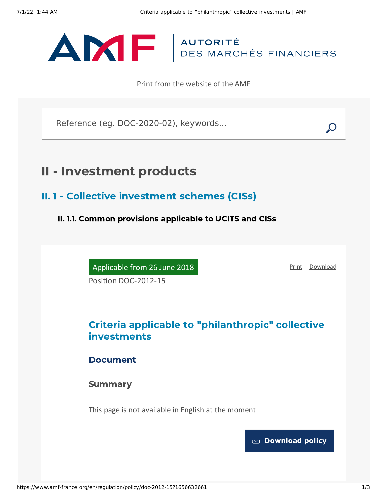

Print from the website of the AMF

Reference (eg. DOC-2020-02), keywords...

# II - Investment products

II. 1 - Collective investment schemes (CISs)

II. 1.1. Common provisions applicable to UCITS and CISs

Applicable from 26 June 2018

[Print](javascript:window.print()) [Download](https://www.amf-france.org/sites/default/files/pdf/62919/en/Criteria_applicable_to_philanthropic_collective_investments.pdf?1656632662)

Position DOC-2012-15

# Criteria applicable to "philanthropic" collective investments

Document

Summary

This page is not available in English at the moment

**[Download](https://www.amf-france.org/sites/default/files/pdf/62919/en/Criteria_applicable_to_philanthropic_collective_investments.pdf?1656632662?1656632662) policy**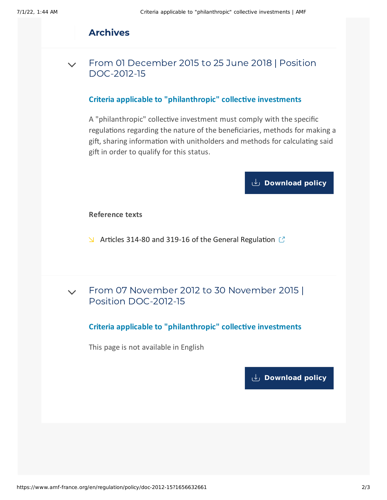## Archives

From 01 December 2015 to 25 June 2018 | Position [DOC-2012-15](#page-1-0)  $\sqrt{}$ 

#### **Criteria applicable to "philanthropic" collective investments**

<span id="page-1-0"></span>A "philanthropic" collective investment must comply with the specific regulations regarding the nature of the beneficiaries, methods for making a gift, sharing information with unitholders and methods for calculating said gift in order to qualify for this status.

## **[Download](https://www.amf-france.org/sites/default/files/doctrine/Position/Criteria%20applicable%20to%20philanthropic%20collective%20investments.pdf) policy**

#### **Reference texts**

- $\blacktriangleright$  Articles 314-80 and 319-16 of the General [Regulation](https://reglement-general.amf-france.org/eli/fr/aai/amf/rg/notes/en.html)  $\mathbb C$
- From 07 November 2012 to 30 November 2015 | Position [DOC-2012-15](#page-1-1)  $\vee$

#### **Criteria applicable to "philanthropic" collective investments**

<span id="page-1-1"></span>This page is not available in English

**[Download](https://www.amf-france.org/sites/default/files/pdf/62919/en/Criteria_applicable_to_philanthropic_collective_investments.pdf?1656632662?1656632662) policy**